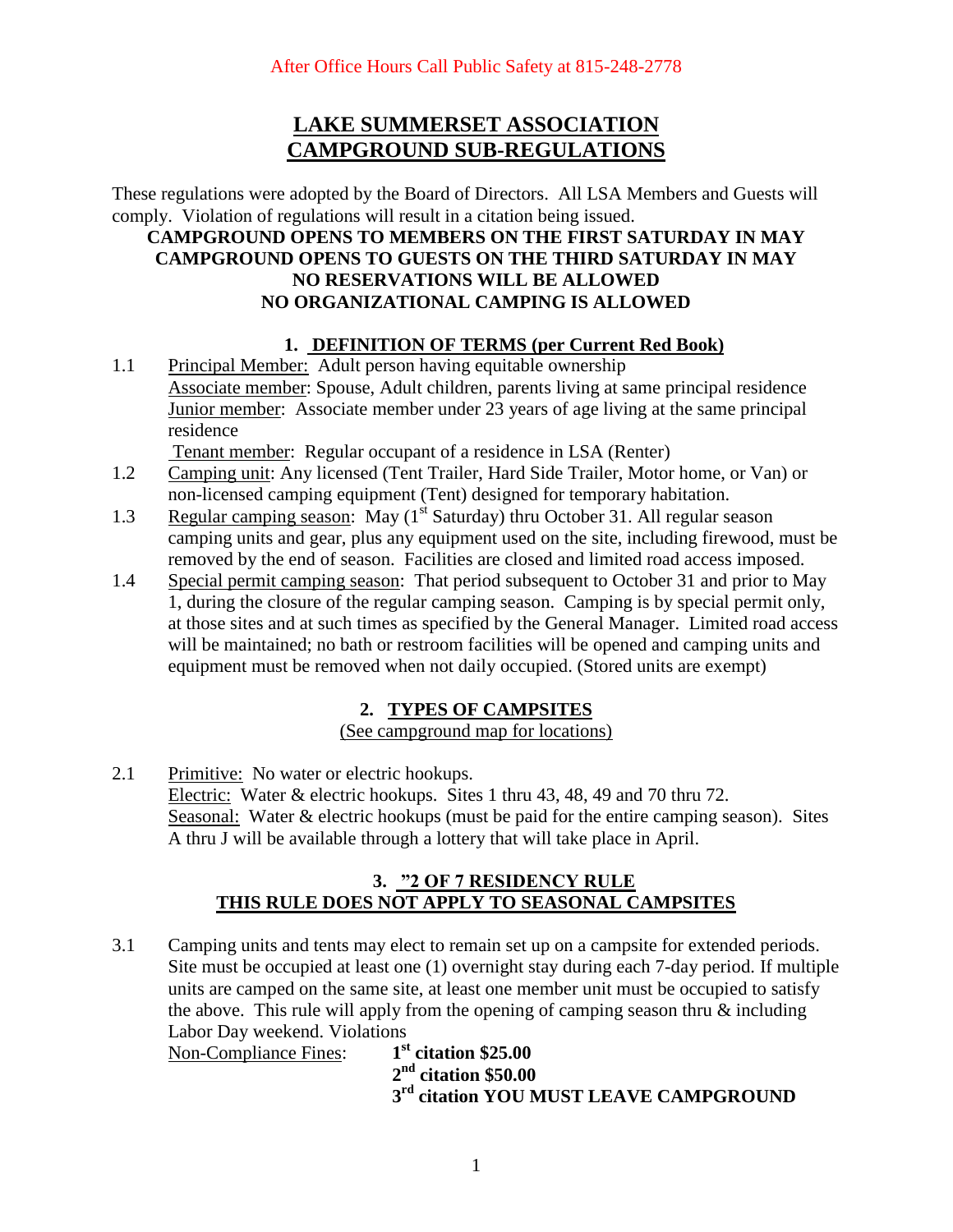# **LAKE SUMMERSET ASSOCIATION CAMPGROUND SUB-REGULATIONS**

These regulations were adopted by the Board of Directors. All LSA Members and Guests will comply. Violation of regulations will result in a citation being issued.

### **CAMPGROUND OPENS TO MEMBERS ON THE FIRST SATURDAY IN MAY CAMPGROUND OPENS TO GUESTS ON THE THIRD SATURDAY IN MAY NO RESERVATIONS WILL BE ALLOWED NO ORGANIZATIONAL CAMPING IS ALLOWED**

### **1. DEFINITION OF TERMS (per Current Red Book)**

1.1 Principal Member: Adult person having equitable ownership Associate member: Spouse, Adult children, parents living at same principal residence Junior member: Associate member under 23 years of age living at the same principal residence

Tenant member: Regular occupant of a residence in LSA (Renter)

- 1.2 Camping unit: Any licensed (Tent Trailer, Hard Side Trailer, Motor home, or Van) or non-licensed camping equipment (Tent) designed for temporary habitation.
- 1.3 Regular camping season: May (1<sup>st</sup> Saturday) thru October 31. All regular season camping units and gear, plus any equipment used on the site, including firewood, must be removed by the end of season. Facilities are closed and limited road access imposed.
- 1.4 Special permit camping season: That period subsequent to October 31 and prior to May 1, during the closure of the regular camping season. Camping is by special permit only, at those sites and at such times as specified by the General Manager. Limited road access will be maintained; no bath or restroom facilities will be opened and camping units and equipment must be removed when not daily occupied. (Stored units are exempt)

## **2. TYPES OF CAMPSITES**

(See campground map for locations)

2.1 Primitive: No water or electric hookups. Electric: Water & electric hookups. Sites 1 thru 43, 48, 49 and 70 thru 72. Seasonal: Water & electric hookups (must be paid for the entire camping season). Sites A thru J will be available through a lottery that will take place in April.

### **3. "2 OF 7 RESIDENCY RULE THIS RULE DOES NOT APPLY TO SEASONAL CAMPSITES**

3.1 Camping units and tents may elect to remain set up on a campsite for extended periods. Site must be occupied at least one (1) overnight stay during each 7-day period. If multiple units are camped on the same site, at least one member unit must be occupied to satisfy the above. This rule will apply from the opening of camping season thru & including Labor Day weekend. Violations

Non-Compliance Fines: **1 st citation \$25.00 2 2 nd citation \$50.00 3**  $3<sup>rd</sup>$  citation YOU MUST LEAVE CAMPGROUND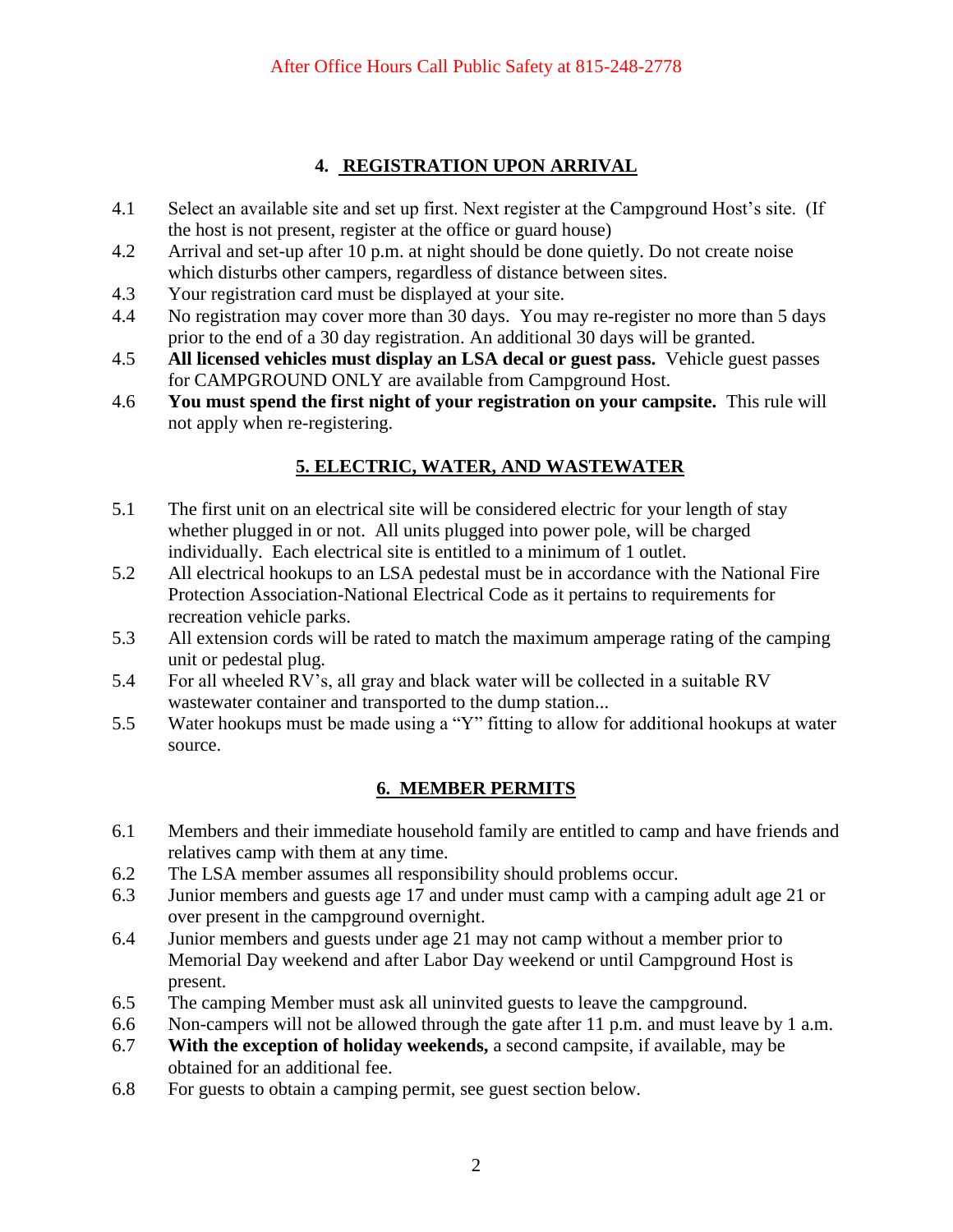# **4. REGISTRATION UPON ARRIVAL**

- 4.1 Select an available site and set up first. Next register at the Campground Host's site. (If the host is not present, register at the office or guard house)
- 4.2 Arrival and set-up after 10 p.m. at night should be done quietly. Do not create noise which disturbs other campers, regardless of distance between sites.
- 4.3 Your registration card must be displayed at your site.
- 4.4 No registration may cover more than 30 days. You may re-register no more than 5 days prior to the end of a 30 day registration. An additional 30 days will be granted.
- 4.5 **All licensed vehicles must display an LSA decal or guest pass.** Vehicle guest passes for CAMPGROUND ONLY are available from Campground Host.
- 4.6 **You must spend the first night of your registration on your campsite.** This rule will not apply when re-registering.

# **5. ELECTRIC, WATER, AND WASTEWATER**

- 5.1 The first unit on an electrical site will be considered electric for your length of stay whether plugged in or not. All units plugged into power pole, will be charged individually. Each electrical site is entitled to a minimum of 1 outlet.
- 5.2 All electrical hookups to an LSA pedestal must be in accordance with the National Fire Protection Association-National Electrical Code as it pertains to requirements for recreation vehicle parks.
- 5.3 All extension cords will be rated to match the maximum amperage rating of the camping unit or pedestal plug.
- 5.4 For all wheeled RV's, all gray and black water will be collected in a suitable RV wastewater container and transported to the dump station...
- 5.5 Water hookups must be made using a "Y" fitting to allow for additional hookups at water source.

# **6. MEMBER PERMITS**

- 6.1 Members and their immediate household family are entitled to camp and have friends and relatives camp with them at any time.
- 6.2 The LSA member assumes all responsibility should problems occur.
- 6.3 Junior members and guests age 17 and under must camp with a camping adult age 21 or over present in the campground overnight.
- 6.4 Junior members and guests under age 21 may not camp without a member prior to Memorial Day weekend and after Labor Day weekend or until Campground Host is present.
- 6.5 The camping Member must ask all uninvited guests to leave the campground.
- 6.6 Non-campers will not be allowed through the gate after 11 p.m. and must leave by 1 a.m.
- 6.7 **With the exception of holiday weekends,** a second campsite, if available, may be obtained for an additional fee.
- 6.8 For guests to obtain a camping permit, see guest section below.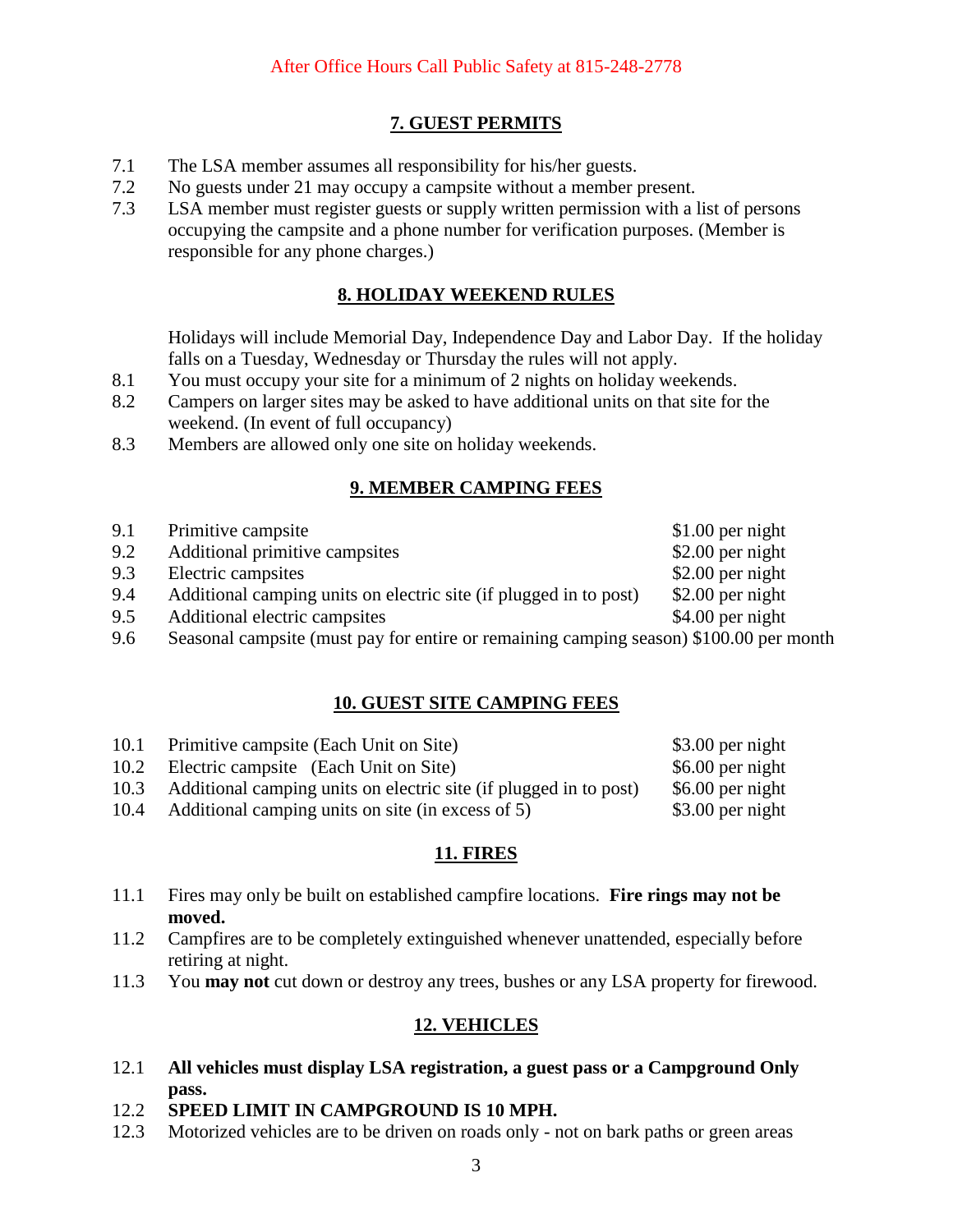## **7. GUEST PERMITS**

- 7.1 The LSA member assumes all responsibility for his/her guests.
- 7.2 No guests under 21 may occupy a campsite without a member present.
- 7.3 LSA member must register guests or supply written permission with a list of persons occupying the campsite and a phone number for verification purposes. (Member is responsible for any phone charges.)

## **8. HOLIDAY WEEKEND RULES**

Holidays will include Memorial Day, Independence Day and Labor Day. If the holiday falls on a Tuesday, Wednesday or Thursday the rules will not apply.

- 8.1 You must occupy your site for a minimum of 2 nights on holiday weekends.
- 8.2 Campers on larger sites may be asked to have additional units on that site for the weekend. (In event of full occupancy)
- 8.3 Members are allowed only one site on holiday weekends.

## **9. MEMBER CAMPING FEES**

| 9.1 | Primitive campsite                                                                     | $$1.00$ per night |
|-----|----------------------------------------------------------------------------------------|-------------------|
| 9.2 | Additional primitive campsites                                                         | $$2.00$ per night |
| 9.3 | Electric campsites                                                                     | $$2.00$ per night |
| 9.4 | Additional camping units on electric site (if plugged in to post)                      | $$2.00$ per night |
| 9.5 | Additional electric campsites                                                          | $$4.00$ per night |
| 9.6 | Seasonal campsite (must pay for entire or remaining camping season) \$100.00 per month |                   |

## **10. GUEST SITE CAMPING FEES**

| 10.1 | Primitive campsite (Each Unit on Site)                                 | $$3.00$ per night |
|------|------------------------------------------------------------------------|-------------------|
|      | 10.2 Electric campsite (Each Unit on Site)                             | \$6.00 per night  |
|      | 10.3 Additional camping units on electric site (if plugged in to post) | \$6.00 per night  |
|      | 10.4 Additional camping units on site (in excess of 5)                 | \$3.00 per night  |

# **11. FIRES**

- 11.1 Fires may only be built on established campfire locations. **Fire rings may not be moved.**
- 11.2 Campfires are to be completely extinguished whenever unattended, especially before retiring at night.
- 11.3 You **may not** cut down or destroy any trees, bushes or any LSA property for firewood.

## **12. VEHICLES**

- 12.1 **All vehicles must display LSA registration, a guest pass or a Campground Only pass.**
- 12.2 **SPEED LIMIT IN CAMPGROUND IS 10 MPH.**
- 12.3 Motorized vehicles are to be driven on roads only not on bark paths or green areas